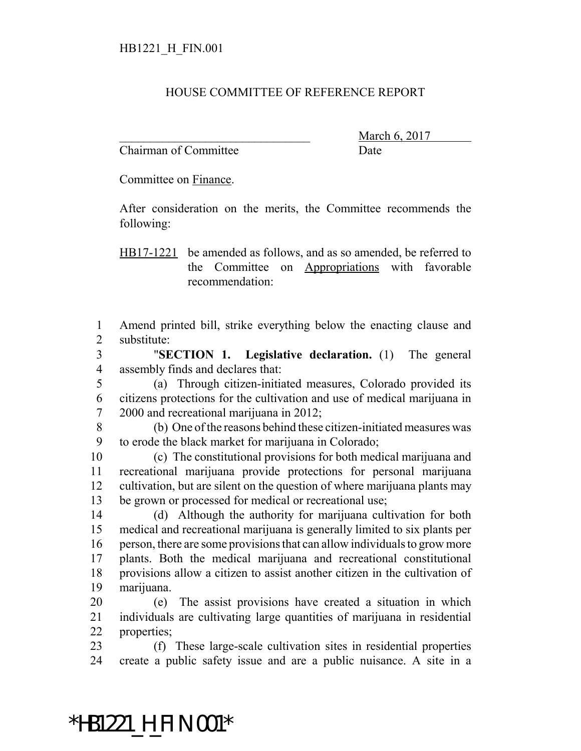## HOUSE COMMITTEE OF REFERENCE REPORT

Chairman of Committee Date

March 6, 2017

Committee on Finance.

After consideration on the merits, the Committee recommends the following:

HB17-1221 be amended as follows, and as so amended, be referred to the Committee on Appropriations with favorable recommendation:

 Amend printed bill, strike everything below the enacting clause and substitute:

 "**SECTION 1. Legislative declaration.** (1) The general assembly finds and declares that:

 (a) Through citizen-initiated measures, Colorado provided its citizens protections for the cultivation and use of medical marijuana in 2000 and recreational marijuana in 2012;

 (b) One of the reasons behind these citizen-initiated measures was to erode the black market for marijuana in Colorado;

 (c) The constitutional provisions for both medical marijuana and recreational marijuana provide protections for personal marijuana cultivation, but are silent on the question of where marijuana plants may be grown or processed for medical or recreational use;

 (d) Although the authority for marijuana cultivation for both medical and recreational marijuana is generally limited to six plants per person, there are some provisions that can allow individuals to grow more plants. Both the medical marijuana and recreational constitutional provisions allow a citizen to assist another citizen in the cultivation of marijuana.

 (e) The assist provisions have created a situation in which individuals are cultivating large quantities of marijuana in residential properties;

 (f) These large-scale cultivation sites in residential properties create a public safety issue and are a public nuisance. A site in a

## \*HB1221\_H\_FIN.001\*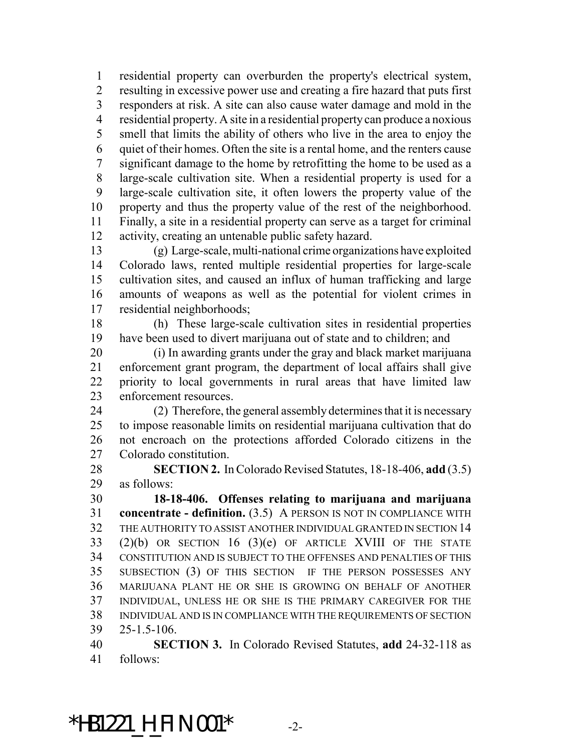residential property can overburden the property's electrical system, resulting in excessive power use and creating a fire hazard that puts first responders at risk. A site can also cause water damage and mold in the residential property. A site in a residential property can produce a noxious smell that limits the ability of others who live in the area to enjoy the quiet of their homes. Often the site is a rental home, and the renters cause significant damage to the home by retrofitting the home to be used as a large-scale cultivation site. When a residential property is used for a large-scale cultivation site, it often lowers the property value of the property and thus the property value of the rest of the neighborhood. Finally, a site in a residential property can serve as a target for criminal activity, creating an untenable public safety hazard.

 (g) Large-scale, multi-national crime organizations have exploited Colorado laws, rented multiple residential properties for large-scale cultivation sites, and caused an influx of human trafficking and large amounts of weapons as well as the potential for violent crimes in residential neighborhoods;

 (h) These large-scale cultivation sites in residential properties have been used to divert marijuana out of state and to children; and

 (i) In awarding grants under the gray and black market marijuana enforcement grant program, the department of local affairs shall give priority to local governments in rural areas that have limited law enforcement resources.

 (2) Therefore, the general assembly determines that it is necessary to impose reasonable limits on residential marijuana cultivation that do not encroach on the protections afforded Colorado citizens in the Colorado constitution.

 **SECTION 2.** In Colorado Revised Statutes, 18-18-406, **add** (3.5) as follows:

 **18-18-406. Offenses relating to marijuana and marijuana concentrate - definition.** (3.5) A PERSON IS NOT IN COMPLIANCE WITH THE AUTHORITY TO ASSIST ANOTHER INDIVIDUAL GRANTED IN SECTION 14 (2)(b) OR SECTION 16 (3)(e) OF ARTICLE XVIII OF THE STATE CONSTITUTION AND IS SUBJECT TO THE OFFENSES AND PENALTIES OF THIS SUBSECTION (3) OF THIS SECTION IF THE PERSON POSSESSES ANY MARIJUANA PLANT HE OR SHE IS GROWING ON BEHALF OF ANOTHER INDIVIDUAL, UNLESS HE OR SHE IS THE PRIMARY CAREGIVER FOR THE INDIVIDUAL AND IS IN COMPLIANCE WITH THE REQUIREMENTS OF SECTION 25-1.5-106.

 **SECTION 3.** In Colorado Revised Statutes, **add** 24-32-118 as follows:

**\*HB1221\_H\_FIN.001\*** -2-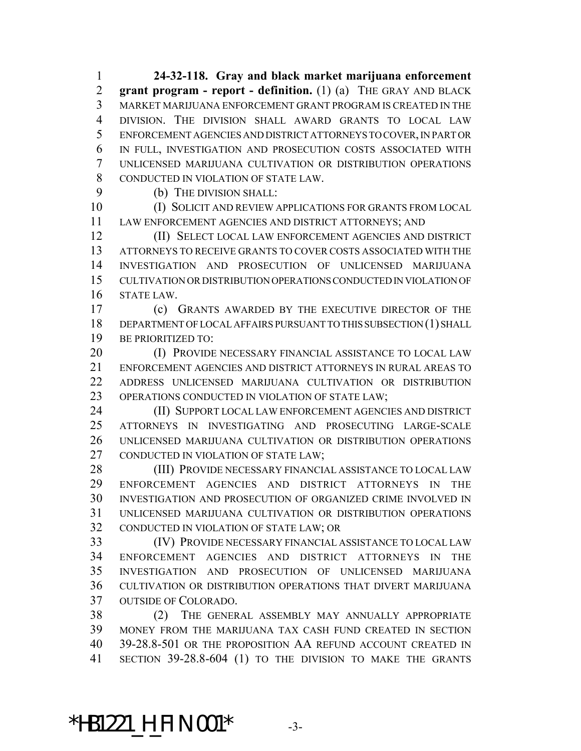**24-32-118. Gray and black market marijuana enforcement grant program - report - definition.** (1) (a) THE GRAY AND BLACK MARKET MARIJUANA ENFORCEMENT GRANT PROGRAM IS CREATED IN THE DIVISION. THE DIVISION SHALL AWARD GRANTS TO LOCAL LAW ENFORCEMENT AGENCIES AND DISTRICT ATTORNEYS TO COVER, IN PART OR IN FULL, INVESTIGATION AND PROSECUTION COSTS ASSOCIATED WITH UNLICENSED MARIJUANA CULTIVATION OR DISTRIBUTION OPERATIONS CONDUCTED IN VIOLATION OF STATE LAW.

(b) THE DIVISION SHALL:

 (I) SOLICIT AND REVIEW APPLICATIONS FOR GRANTS FROM LOCAL LAW ENFORCEMENT AGENCIES AND DISTRICT ATTORNEYS; AND

 (II) SELECT LOCAL LAW ENFORCEMENT AGENCIES AND DISTRICT ATTORNEYS TO RECEIVE GRANTS TO COVER COSTS ASSOCIATED WITH THE INVESTIGATION AND PROSECUTION OF UNLICENSED MARIJUANA CULTIVATION OR DISTRIBUTION OPERATIONS CONDUCTED IN VIOLATION OF STATE LAW.

 (c) GRANTS AWARDED BY THE EXECUTIVE DIRECTOR OF THE DEPARTMENT OF LOCAL AFFAIRS PURSUANT TO THIS SUBSECTION (1) SHALL BE PRIORITIZED TO:

20 (I) PROVIDE NECESSARY FINANCIAL ASSISTANCE TO LOCAL LAW ENFORCEMENT AGENCIES AND DISTRICT ATTORNEYS IN RURAL AREAS TO ADDRESS UNLICENSED MARIJUANA CULTIVATION OR DISTRIBUTION OPERATIONS CONDUCTED IN VIOLATION OF STATE LAW;

 (II) SUPPORT LOCAL LAW ENFORCEMENT AGENCIES AND DISTRICT ATTORNEYS IN INVESTIGATING AND PROSECUTING LARGE-SCALE UNLICENSED MARIJUANA CULTIVATION OR DISTRIBUTION OPERATIONS 27 CONDUCTED IN VIOLATION OF STATE LAW;

28 (III) PROVIDE NECESSARY FINANCIAL ASSISTANCE TO LOCAL LAW ENFORCEMENT AGENCIES AND DISTRICT ATTORNEYS IN THE INVESTIGATION AND PROSECUTION OF ORGANIZED CRIME INVOLVED IN UNLICENSED MARIJUANA CULTIVATION OR DISTRIBUTION OPERATIONS CONDUCTED IN VIOLATION OF STATE LAW; OR

 (IV) PROVIDE NECESSARY FINANCIAL ASSISTANCE TO LOCAL LAW ENFORCEMENT AGENCIES AND DISTRICT ATTORNEYS IN THE INVESTIGATION AND PROSECUTION OF UNLICENSED MARIJUANA CULTIVATION OR DISTRIBUTION OPERATIONS THAT DIVERT MARIJUANA OUTSIDE OF COLORADO.

 (2) THE GENERAL ASSEMBLY MAY ANNUALLY APPROPRIATE MONEY FROM THE MARIJUANA TAX CASH FUND CREATED IN SECTION 39-28.8-501 OR THE PROPOSITION AA REFUND ACCOUNT CREATED IN SECTION 39-28.8-604 (1) TO THE DIVISION TO MAKE THE GRANTS

**\*HB1221\_H\_FIN.001\*** 3-